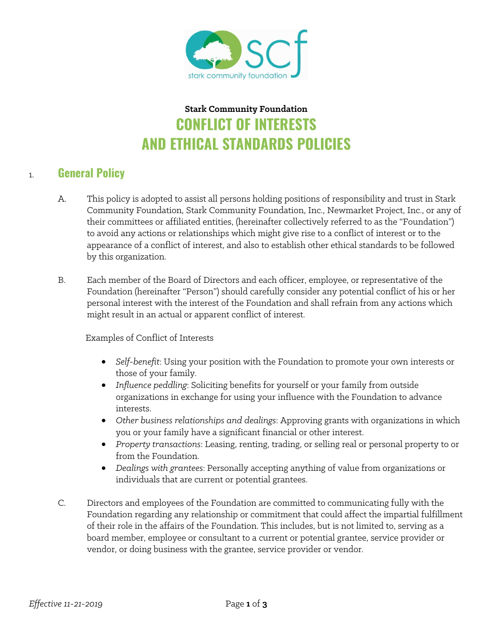

# **Stark Community Foundation CONFLICT OF INTERESTS AND ETHICAL STANDARDS POLICIES**

#### 1. **General Policy**

- A. This policy is adopted to assist all persons holding positions of responsibility and trust in Stark Community Foundation, Stark Community Foundation, Inc., Newmarket Project, Inc., or any of their committees or affiliated entities, (hereinafter collectively referred to as the "Foundation") to avoid any actions or relationships which might give rise to a conflict of interest or to the appearance of a conflict of interest, and also to establish other ethical standards to be followed by this organization.
- B. Each member of the Board of Directors and each officer, employee, or representative of the Foundation (hereinafter "Person") should carefully consider any potential conflict of his or her personal interest with the interest of the Foundation and shall refrain from any actions which might result in an actual or apparent conflict of interest.

Examples of Conflict of Interests

- *Self-benefit*: Using your position with the Foundation to promote your own interests or those of your family.
- *Influence peddling*: Soliciting benefits for yourself or your family from outside organizations in exchange for using your influence with the Foundation to advance interests.
- *Other business relationships and dealings*: Approving grants with organizations in which you or your family have a significant financial or other interest.
- *Property transactions*: Leasing, renting, trading, or selling real or personal property to or from the Foundation.
- *Dealings with grantees*: Personally accepting anything of value from organizations or individuals that are current or potential grantees.
- C. Directors and employees of the Foundation are committed to communicating fully with the Foundation regarding any relationship or commitment that could affect the impartial fulfillment of their role in the affairs of the Foundation. This includes, but is not limited to, serving as a board member, employee or consultant to a current or potential grantee, service provider or vendor, or doing business with the grantee, service provider or vendor.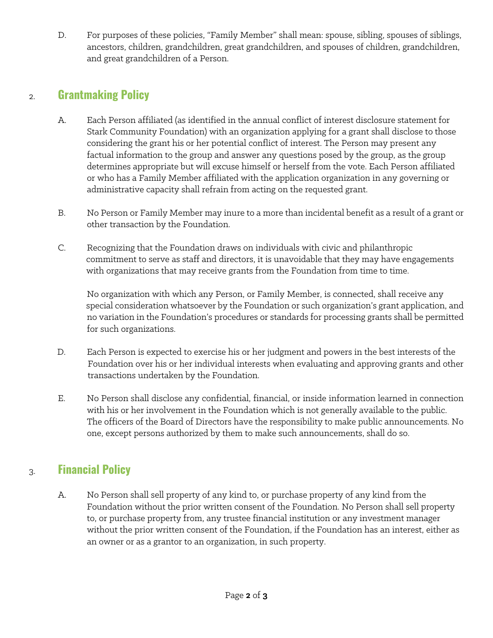D. For purposes of these policies, "Family Member" shall mean: spouse, sibling, spouses of siblings, ancestors, children, grandchildren, great grandchildren, and spouses of children, grandchildren, and great grandchildren of a Person.

#### 2. **Grantmaking Policy**

- A. Each Person affiliated (as identified in the annual conflict of interest disclosure statement for Stark Community Foundation) with an organization applying for a grant shall disclose to those considering the grant his or her potential conflict of interest. The Person may present any factual information to the group and answer any questions posed by the group, as the group determines appropriate but will excuse himself or herself from the vote. Each Person affiliated or who has a Family Member affiliated with the application organization in any governing or administrative capacity shall refrain from acting on the requested grant.
- B. No Person or Family Member may inure to a more than incidental benefit as a result of a grant or other transaction by the Foundation.
- C. Recognizing that the Foundation draws on individuals with civic and philanthropic commitment to serve as staff and directors, it is unavoidable that they may have engagements with organizations that may receive grants from the Foundation from time to time.

No organization with which any Person, or Family Member, is connected, shall receive any special consideration whatsoever by the Foundation or such organization's grant application, and no variation in the Foundation's procedures or standards for processing grants shall be permitted for such organizations.

- D. Each Person is expected to exercise his or her judgment and powers in the best interests of the Foundation over his or her individual interests when evaluating and approving grants and other transactions undertaken by the Foundation.
- E. No Person shall disclose any confidential, financial, or inside information learned in connection with his or her involvement in the Foundation which is not generally available to the public. The officers of the Board of Directors have the responsibility to make public announcements. No one, except persons authorized by them to make such announcements, shall do so.

### 3. **Financial Policy**

A. No Person shall sell property of any kind to, or purchase property of any kind from the Foundation without the prior written consent of the Foundation. No Person shall sell property to, or purchase property from, any trustee financial institution or any investment manager without the prior written consent of the Foundation, if the Foundation has an interest, either as an owner or as a grantor to an organization, in such property.